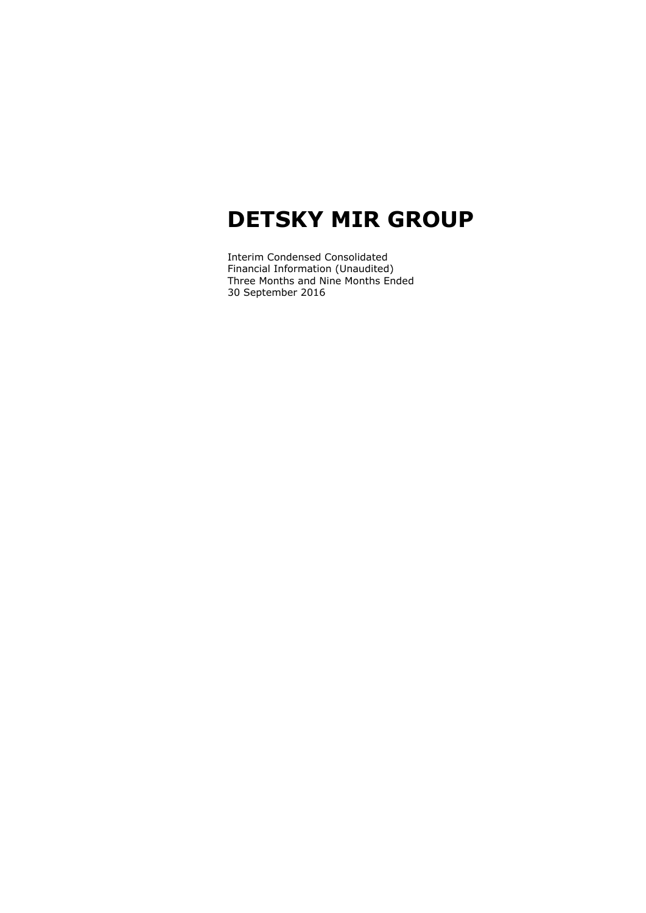Interim Condensed Consolidated Financial Information (Unaudited) Three Months and Nine Months Ended 30 September 2016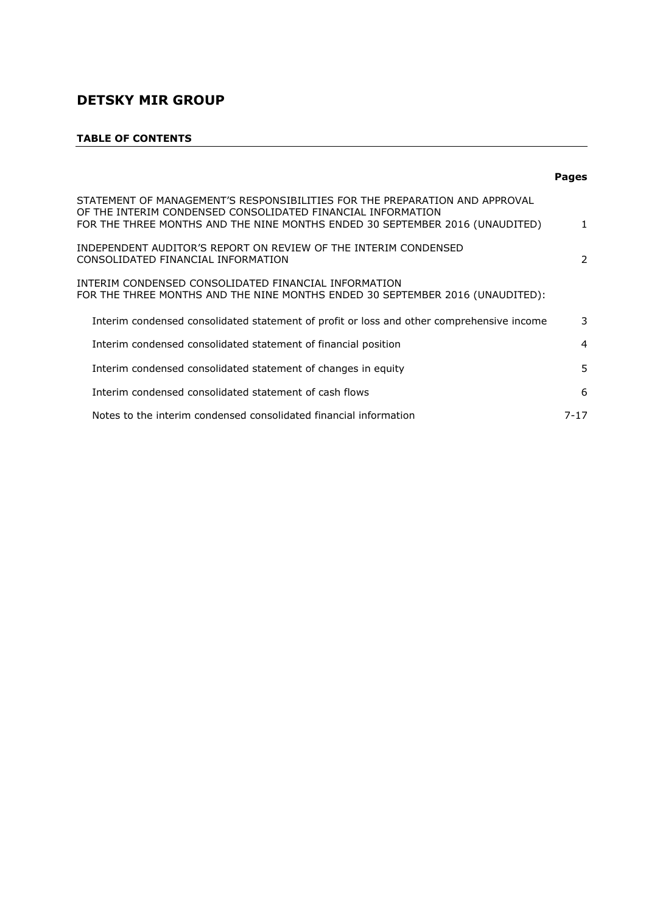# **TABLE OF CONTENTS**

|                                                                                                                                                                                                                            | <b>Pages</b> |
|----------------------------------------------------------------------------------------------------------------------------------------------------------------------------------------------------------------------------|--------------|
| STATEMENT OF MANAGEMENT'S RESPONSIBILITIES FOR THE PREPARATION AND APPROVAL<br>OF THE INTERIM CONDENSED CONSOLIDATED FINANCIAL INFORMATION<br>FOR THE THREE MONTHS AND THE NINE MONTHS ENDED 30 SEPTEMBER 2016 (UNAUDITED) | $\mathbf{1}$ |
| INDEPENDENT AUDITOR'S REPORT ON REVIEW OF THE INTERIM CONDENSED<br>CONSOLIDATED FINANCIAL INFORMATION                                                                                                                      | 2            |
| INTERIM CONDENSED CONSOLIDATED FINANCIAL INFORMATION<br>FOR THE THREE MONTHS AND THE NINE MONTHS ENDED 30 SEPTEMBER 2016 (UNAUDITED):                                                                                      |              |
| Interim condensed consolidated statement of profit or loss and other comprehensive income                                                                                                                                  | 3            |
| Interim condensed consolidated statement of financial position                                                                                                                                                             | 4            |
| Interim condensed consolidated statement of changes in equity                                                                                                                                                              | 5            |
| Interim condensed consolidated statement of cash flows                                                                                                                                                                     | 6            |
| Notes to the interim condensed consolidated financial information                                                                                                                                                          | 7-17         |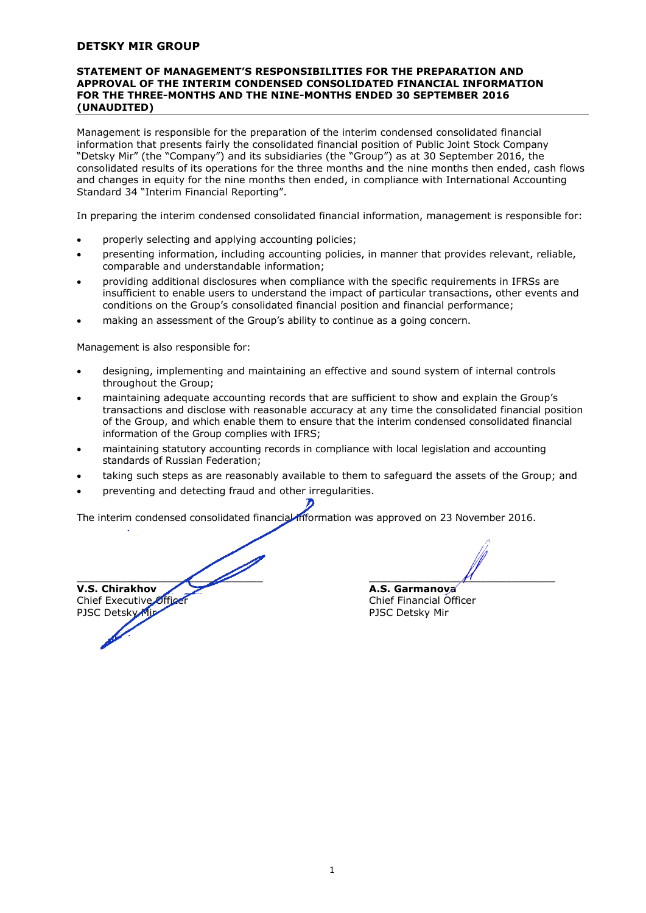#### **STATEMENT OF MANAGEMENT'S RESPONSIBILITIES FOR THE PREPARATION AND APPROVAL OF THE INTERIM CONDENSED CONSOLIDATED FINANCIAL INFORMATION FOR THE THREE-MONTHS AND THE NINE-MONTHS ENDED 30 SEPTEMBER 2016 (UNAUDITED)**

Management is responsible for the preparation of the interim condensed consolidated financial information that presents fairly the consolidated financial position of Public Joint Stock Company "Detsky Mir" (the "Company") and its subsidiaries (the "Group") as at 30 September 2016, the consolidated results of its operations for the three months and the nine months then ended, cash flows and changes in equity for the nine months then ended, in compliance with International Accounting Standard 34 "Interim Financial Reporting".

In preparing the interim condensed consolidated financial information, management is responsible for:

- properly selecting and applying accounting policies;
- presenting information, including accounting policies, in manner that provides relevant, reliable, comparable and understandable information;
- providing additional disclosures when compliance with the specific requirements in IFRSs are insufficient to enable users to understand the impact of particular transactions, other events and conditions on the Group's consolidated financial position and financial performance;
- making an assessment of the Group's ability to continue as a going concern.

Management is also responsible for:

- designing, implementing and maintaining an effective and sound system of internal controls throughout the Group;
- maintaining adequate accounting records that are sufficient to show and explain the Group's transactions and disclose with reasonable accuracy at any time the consolidated financial position of the Group, and which enable them to ensure that the interim condensed consolidated financial information of the Group complies with IFRS;
- maintaining statutory accounting records in compliance with local legislation and accounting standards of Russian Federation;
- taking such steps as are reasonably available to them to safeguard the assets of the Group; and
- preventing and detecting fraud and other irregularities.

The interim condensed consolidated financial information was approved on 23 November 2016.

 $\overline{a}$   $\overline{a}$   $\overline{a}$   $\overline{a}$   $\overline{a}$   $\overline{a}$   $\overline{a}$   $\overline{a}$   $\overline{a}$   $\overline{a}$   $\overline{a}$   $\overline{a}$   $\overline{a}$   $\overline{a}$   $\overline{a}$   $\overline{a}$   $\overline{a}$   $\overline{a}$   $\overline{a}$   $\overline{a}$   $\overline{a}$   $\overline{a}$   $\overline{a}$   $\overline{a}$   $\overline{$ **V.S. Chirakhov A.S. Garmanova** Chief Executive Officer<br>PISC Detsky Mir<br>PISC Detsky Mir PJSC Detsky Mir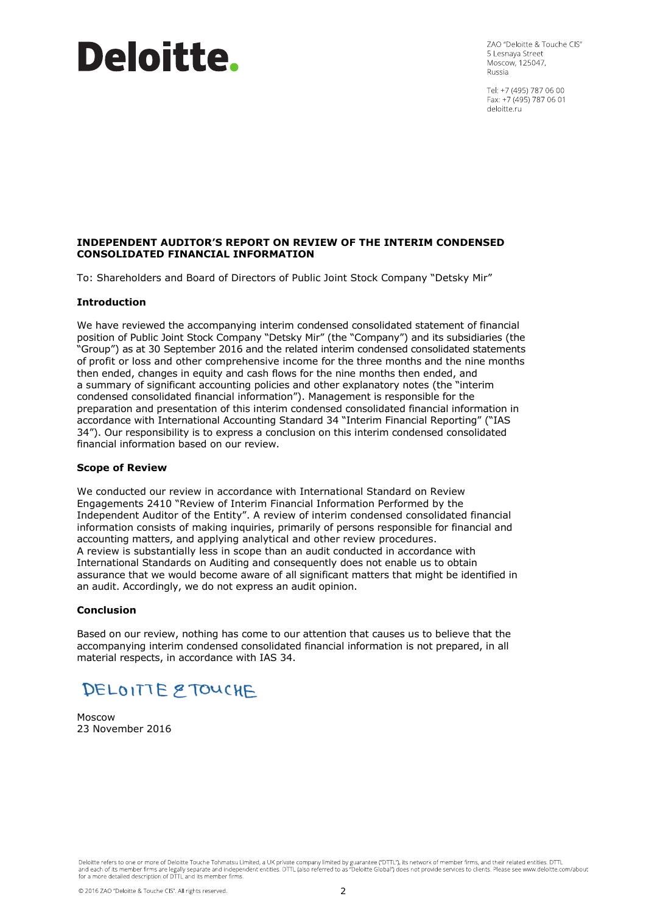# Deloitte.

ZAO "Deloitte & Touche CIS" 5 Lesnava Street Moscow, 125047, Russia

Tel: +7 (495) 787 06 00 Fax: +7 (495) 787 06 01 deloitte.ru

# **INDEPENDENT AUDITOR'S REPORT ON REVIEW OF THE INTERIM CONDENSED CONSOLIDATED FINANCIAL INFORMATION**

To: Shareholders and Board of Directors of Public Joint Stock Company "Detsky Mir"

# **Introduction**

We have reviewed the accompanying interim condensed consolidated statement of financial position of Public Joint Stock Company "Detsky Mir" (the "Company") and its subsidiaries (the "Group") as at 30 September 2016 and the related interim condensed consolidated statements of profit or loss and other comprehensive income for the three months and the nine months then ended, changes in equity and cash flows for the nine months then ended, and a summary of significant accounting policies and other explanatory notes (the "interim condensed consolidated financial information"). Management is responsible for the preparation and presentation of this interim condensed consolidated financial information in accordance with International Accounting Standard 34 "Interim Financial Reporting" ("IAS 34"). Our responsibility is to express a conclusion on this interim condensed consolidated financial information based on our review.

# **Scope of Review**

We conducted our review in accordance with International Standard on Review Engagements 2410 "Review of Interim Financial Information Performed by the Independent Auditor of the Entity". A review of interim condensed consolidated financial information consists of making inquiries, primarily of persons responsible for financial and accounting matters, and applying analytical and other review procedures. A review is substantially less in scope than an audit conducted in accordance with International Standards on Auditing and consequently does not enable us to obtain assurance that we would become aware of all significant matters that might be identified in an audit. Accordingly, we do not express an audit opinion.

#### **Conclusion**

Based on our review, nothing has come to our attention that causes us to believe that the accompanying interim condensed consolidated financial information is not prepared, in all material respects, in accordance with IAS 34.

# DELOITTE & TOUCHE

Moscow 23 November 2016

Deloitte refers to one or more of Deloitte Touche Tohmatsu Limited, a UK private company limited by guarantee ("DTTL"), its network of member firms, and their related entities. DTTL and each of its member firms are legally separate and independent entities. DTTL (also referred to as "Deloitte Global") does not provide services to clients. Please see www.deloitte.com/about<br>for a more detailed descripti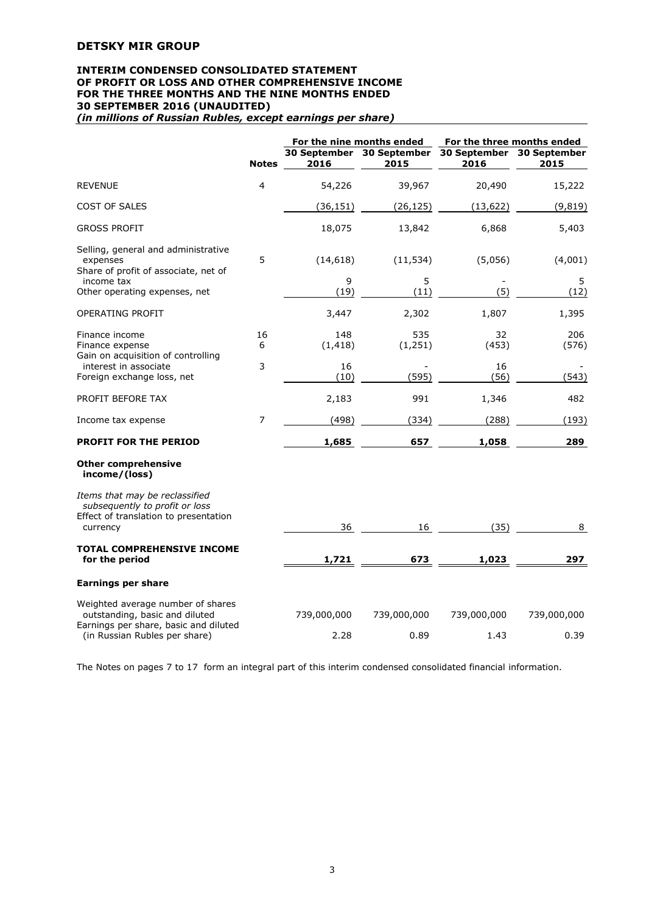#### **INTERIM CONDENSED CONSOLIDATED STATEMENT OF PROFIT OR LOSS AND OTHER COMPREHENSIVE INCOME FOR THE THREE MONTHS AND THE NINE MONTHS ENDED 30 SEPTEMBER 2016 (UNAUDITED)**  *(in millions of Russian Rubles, except earnings per share)*

|                                                                                                                       |              |                 | For the nine months ended                      |             | For the three months ended  |
|-----------------------------------------------------------------------------------------------------------------------|--------------|-----------------|------------------------------------------------|-------------|-----------------------------|
|                                                                                                                       | <b>Notes</b> | 2016            | 30 September 30 September 30 September<br>2015 | 2016        | <b>30 September</b><br>2015 |
| <b>REVENUE</b>                                                                                                        | 4            | 54,226          | 39,967                                         | 20,490      | 15,222                      |
| <b>COST OF SALES</b>                                                                                                  |              | (36, 151)       | (26, 125)                                      | (13, 622)   | (9, 819)                    |
| <b>GROSS PROFIT</b>                                                                                                   |              | 18,075          | 13,842                                         | 6,868       | 5,403                       |
| Selling, general and administrative<br>expenses<br>Share of profit of associate, net of                               | 5            | (14, 618)       | (11, 534)                                      | (5,056)     | (4,001)                     |
| income tax<br>Other operating expenses, net                                                                           |              | 9<br>(19)       | 5<br>(11)                                      | (5)         | 5<br>(12)                   |
| OPERATING PROFIT                                                                                                      |              | 3,447           | 2,302                                          | 1,807       | 1,395                       |
| Finance income<br>Finance expense<br>Gain on acquisition of controlling                                               | 16<br>6      | 148<br>(1, 418) | 535<br>(1, 251)                                | 32<br>(453) | 206<br>(576)                |
| interest in associate<br>Foreign exchange loss, net                                                                   | 3            | 16<br>(10)      | (595)                                          | 16<br>(56)  | (543)                       |
| PROFIT BEFORE TAX                                                                                                     |              | 2,183           | 991                                            | 1,346       | 482                         |
| Income tax expense                                                                                                    | 7            | (498)           | (334)                                          | (288)       | (193)                       |
| <b>PROFIT FOR THE PERIOD</b>                                                                                          |              | 1,685           | 657                                            | 1,058       | 289                         |
| <b>Other comprehensive</b><br>income/(loss)                                                                           |              |                 |                                                |             |                             |
| Items that may be reclassified<br>subsequently to profit or loss<br>Effect of translation to presentation<br>currency |              | 36              | 16                                             | (35)        | 8                           |
| <b>TOTAL COMPREHENSIVE INCOME</b><br>for the period                                                                   |              | 1,721           | 673                                            | 1,023       | 297                         |
| <b>Earnings per share</b>                                                                                             |              |                 |                                                |             |                             |
| Weighted average number of shares<br>outstanding, basic and diluted                                                   |              | 739,000,000     | 739,000,000                                    | 739,000,000 | 739,000,000                 |
| Earnings per share, basic and diluted<br>(in Russian Rubles per share)                                                |              | 2.28            | 0.89                                           | 1.43        | 0.39                        |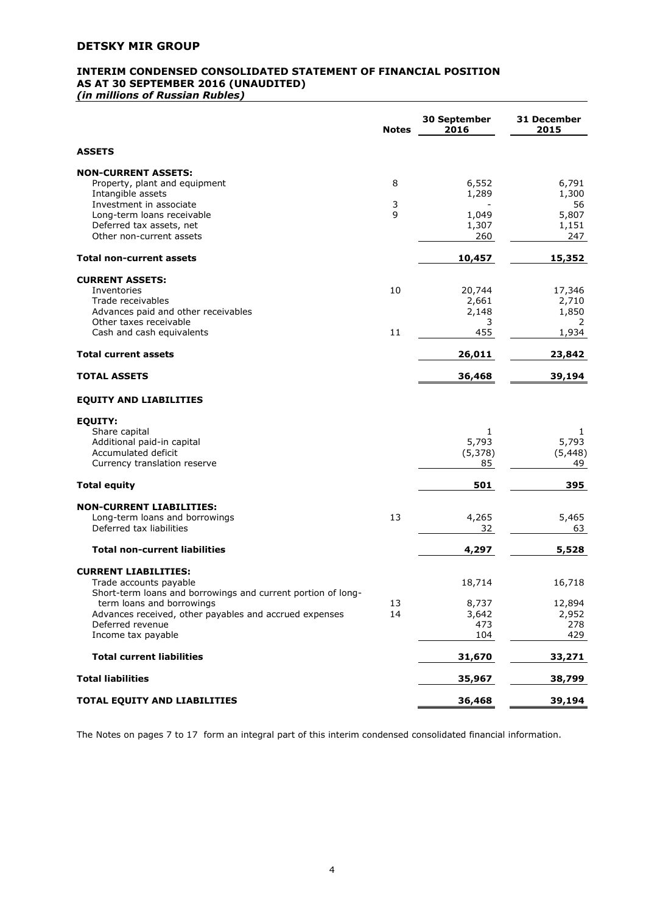# **INTERIM CONDENSED CONSOLIDATED STATEMENT OF FINANCIAL POSITION AS AT 30 SEPTEMBER 2016 (UNAUDITED)**

*(in millions of Russian Rubles)* 

|                                                                                        | <b>Notes</b> | 30 September<br>2016 | 31 December<br>2015 |
|----------------------------------------------------------------------------------------|--------------|----------------------|---------------------|
| <b>ASSETS</b>                                                                          |              |                      |                     |
| <b>NON-CURRENT ASSETS:</b>                                                             |              |                      |                     |
| Property, plant and equipment                                                          | 8            | 6,552                | 6,791               |
| Intangible assets                                                                      |              | 1,289                | 1,300               |
| Investment in associate                                                                | 3            |                      | 56                  |
| Long-term loans receivable                                                             | 9            | 1,049                | 5,807               |
| Deferred tax assets, net<br>Other non-current assets                                   |              | 1,307<br>260         | 1,151<br>247        |
|                                                                                        |              |                      |                     |
| Total non-current assets                                                               |              | 10,457               | 15,352              |
| <b>CURRENT ASSETS:</b>                                                                 |              |                      |                     |
| Inventories                                                                            | 10           | 20,744               | 17,346              |
| Trade receivables                                                                      |              | 2,661                | 2,710               |
| Advances paid and other receivables                                                    |              | 2,148                | 1,850               |
| Other taxes receivable                                                                 |              | 3                    | 2                   |
| Cash and cash equivalents                                                              | 11           | 455                  | 1,934               |
| <b>Total current assets</b>                                                            |              | 26,011               | 23,842              |
| <b>TOTAL ASSETS</b>                                                                    |              | 36,468               | 39,194              |
| <b>EQUITY AND LIABILITIES</b>                                                          |              |                      |                     |
| <b>EQUITY:</b>                                                                         |              |                      |                     |
| Share capital                                                                          |              | 1                    | 1                   |
| Additional paid-in capital                                                             |              | 5,793                | 5,793               |
| Accumulated deficit                                                                    |              | (5, 378)             | (5, 448)            |
| Currency translation reserve                                                           |              | 85                   | 49                  |
| <b>Total equity</b>                                                                    |              | 501                  | 395                 |
| <b>NON-CURRENT LIABILITIES:</b>                                                        |              |                      |                     |
| Long-term loans and borrowings                                                         | 13           | 4,265                | 5,465               |
| Deferred tax liabilities                                                               |              | 32                   | 63                  |
| <b>Total non-current liabilities</b>                                                   |              | 4,297                | 5,528               |
|                                                                                        |              |                      |                     |
| <b>CURRENT LIABILITIES:</b>                                                            |              | 18,714               |                     |
| Trade accounts payable<br>Short-term loans and borrowings and current portion of long- |              |                      | 16,718              |
| term loans and borrowings                                                              | 13           | 8,737                | 12,894              |
| Advances received, other payables and accrued expenses                                 | 14           | 3,642                | 2,952               |
| Deferred revenue                                                                       |              | 473                  | 278                 |
| Income tax payable                                                                     |              | 104                  | 429                 |
| <b>Total current liabilities</b>                                                       |              | 31,670               | 33,271              |
| <b>Total liabilities</b>                                                               |              | 35,967               | 38,799              |
| TOTAL EQUITY AND LIABILITIES                                                           |              | 36,468               | 39,194              |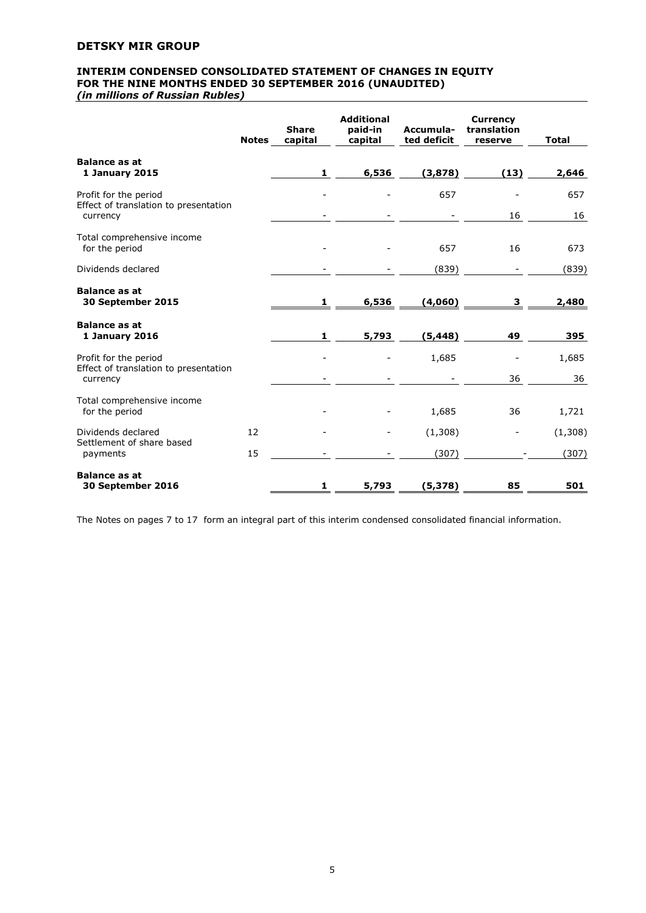# **INTERIM CONDENSED CONSOLIDATED STATEMENT OF CHANGES IN EQUITY FOR THE NINE MONTHS ENDED 30 SEPTEMBER 2016 (UNAUDITED)**  *(in millions of Russian Rubles)*

|                                                                | <b>Notes</b> | <b>Share</b><br>capital | <b>Additional</b><br>paid-in<br>capital | Accumula-<br>ted deficit | <b>Currency</b><br>translation<br>reserve | <b>Total</b> |
|----------------------------------------------------------------|--------------|-------------------------|-----------------------------------------|--------------------------|-------------------------------------------|--------------|
| <b>Balance as at</b><br>1 January 2015                         |              | 1                       | 6,536                                   | (3,878)                  | (13)                                      | 2,646        |
| Profit for the period<br>Effect of translation to presentation |              |                         |                                         | 657                      |                                           | 657          |
| currency                                                       |              |                         |                                         |                          | 16                                        | 16           |
| Total comprehensive income<br>for the period                   |              |                         |                                         | 657                      | 16                                        | 673          |
| Dividends declared                                             |              |                         |                                         | (839)                    |                                           | (839)        |
| <b>Balance as at</b><br>30 September 2015                      |              | 1                       | 6,536                                   | (4,060)                  | з                                         | 2,480        |
| <b>Balance as at</b><br>1 January 2016                         |              | $\mathbf{1}$            | 5,793                                   | (5, 448)                 | 49                                        | 395          |
| Profit for the period                                          |              |                         |                                         | 1,685                    |                                           | 1,685        |
| Effect of translation to presentation<br>currency              |              |                         |                                         |                          | 36                                        | 36           |
| Total comprehensive income<br>for the period                   |              |                         |                                         | 1,685                    | 36                                        | 1,721        |
| Dividends declared                                             | 12           |                         |                                         | (1,308)                  |                                           | (1,308)      |
| Settlement of share based<br>payments                          | 15           |                         |                                         | (307)                    |                                           | (307)        |
| <b>Balance as at</b><br>30 September 2016                      |              | $\mathbf{1}$            | 5,793                                   | (5,378)                  | 85                                        | 501          |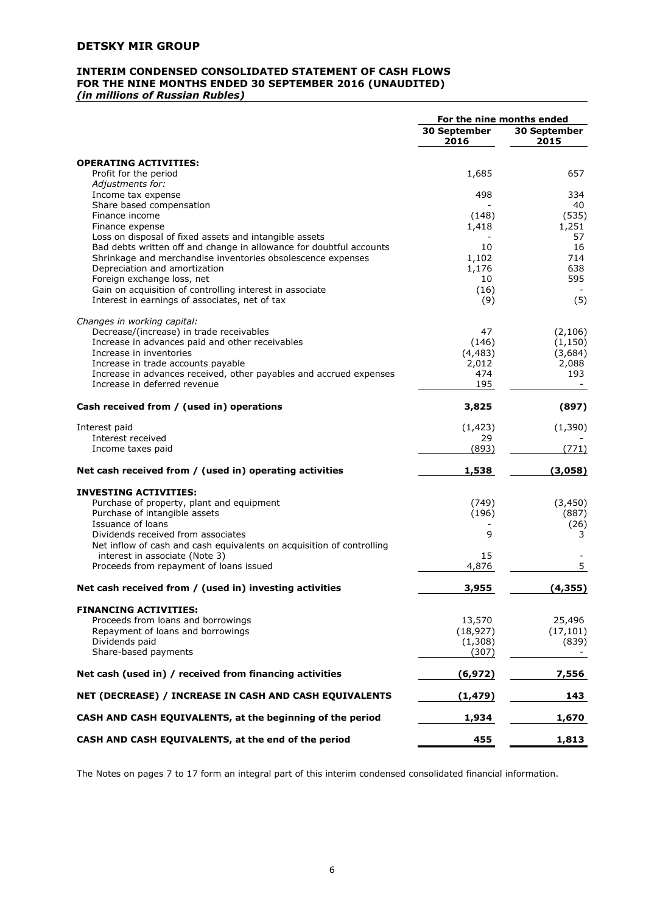# **INTERIM CONDENSED CONSOLIDATED STATEMENT OF CASH FLOWS FOR THE NINE MONTHS ENDED 30 SEPTEMBER 2016 (UNAUDITED)** *(in millions of Russian Rubles)*

|                                                                                                                               | For the nine months ended |                      |
|-------------------------------------------------------------------------------------------------------------------------------|---------------------------|----------------------|
|                                                                                                                               | 30 September<br>2016      | 30 September<br>2015 |
| <b>OPERATING ACTIVITIES:</b>                                                                                                  |                           |                      |
| Profit for the period                                                                                                         | 1,685                     | 657                  |
| Adjustments for:                                                                                                              |                           |                      |
| Income tax expense                                                                                                            | 498                       | 334                  |
| Share based compensation                                                                                                      |                           | 40                   |
| Finance income                                                                                                                | (148)                     | (535)                |
| Finance expense                                                                                                               | 1,418                     | 1,251                |
| Loss on disposal of fixed assets and intangible assets<br>Bad debts written off and change in allowance for doubtful accounts | 10                        | 57<br>16             |
| Shrinkage and merchandise inventories obsolescence expenses                                                                   | 1,102                     | 714                  |
| Depreciation and amortization                                                                                                 | 1,176                     | 638                  |
| Foreign exchange loss, net                                                                                                    | 10                        | 595                  |
| Gain on acquisition of controlling interest in associate                                                                      | (16)                      |                      |
| Interest in earnings of associates, net of tax                                                                                | (9)                       | (5)                  |
| Changes in working capital:                                                                                                   |                           |                      |
| Decrease/(increase) in trade receivables                                                                                      | 47                        | (2, 106)             |
| Increase in advances paid and other receivables                                                                               | (146)                     | (1, 150)             |
| Increase in inventories                                                                                                       | (4, 483)                  | (3,684)              |
| Increase in trade accounts payable<br>Increase in advances received, other payables and accrued expenses                      | 2,012<br>474              | 2,088<br>193         |
| Increase in deferred revenue                                                                                                  | 195                       |                      |
| Cash received from / (used in) operations                                                                                     | 3,825                     | (897)                |
| Interest paid                                                                                                                 | (1, 423)                  | (1, 390)             |
| Interest received                                                                                                             | 29                        |                      |
| Income taxes paid                                                                                                             | (893)                     | (771)                |
| Net cash received from / (used in) operating activities                                                                       | 1,538                     | (3,058)              |
| <b>INVESTING ACTIVITIES:</b>                                                                                                  |                           |                      |
| Purchase of property, plant and equipment                                                                                     | (749)                     | (3, 450)             |
| Purchase of intangible assets                                                                                                 | (196)                     | (887)                |
| Issuance of loans                                                                                                             |                           | (26)                 |
| Dividends received from associates                                                                                            | 9                         | 3                    |
| Net inflow of cash and cash equivalents on acquisition of controlling<br>interest in associate (Note 3)                       | 15                        |                      |
| Proceeds from repayment of loans issued                                                                                       | 4,876                     | 5                    |
|                                                                                                                               |                           |                      |
| Net cash received from / (used in) investing activities                                                                       | 3,955                     | (4, 355)             |
| <b>FINANCING ACTIVITIES:</b>                                                                                                  |                           |                      |
| Proceeds from loans and borrowings                                                                                            | 13,570                    | 25,496               |
| Repayment of loans and borrowings                                                                                             | (18, 927)                 | (17, 101)            |
| Dividends paid<br>Share-based payments                                                                                        | (1,308)<br>(307)          | (839)                |
| Net cash (used in) / received from financing activities                                                                       | (6, 972)                  | 7,556                |
| NET (DECREASE) / INCREASE IN CASH AND CASH EQUIVALENTS                                                                        | (1, 479)                  | 143                  |
| CASH AND CASH EQUIVALENTS, at the beginning of the period                                                                     | 1,934                     | 1,670                |
| CASH AND CASH EQUIVALENTS, at the end of the period                                                                           | 455                       | 1,813                |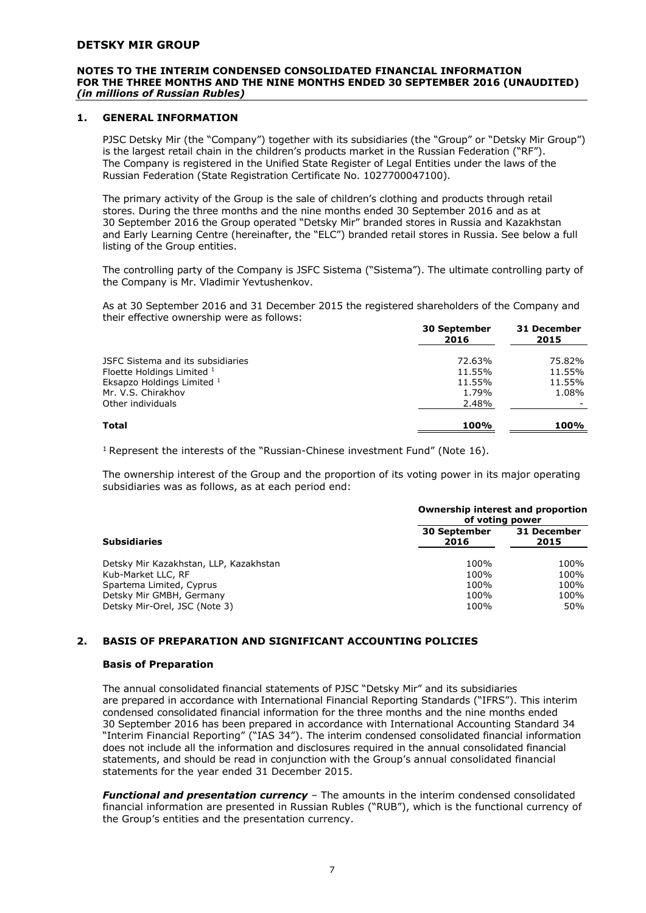#### **NOTES TO THE INTERIM CONDENSED CONSOLIDATED FINANCIAL INFORMATION FOR THE THREE MONTHS AND THE NINE MONTHS ENDED 30 SEPTEMBER 2016 (UNAUDITED)**  *(in millions of Russian Rubles)*

# **1. GENERAL INFORMATION**

PJSC Detsky Mir (the "Company") together with its subsidiaries (the "Group" or "Detsky Mir Group") is the largest retail chain in the children's products market in the Russian Federation ("RF"). The Company is registered in the Unified State Register of Legal Entities under the laws of the Russian Federation (State Registration Certificate No. 1027700047100).

The primary activity of the Group is the sale of children's clothing and products through retail stores. During the three months and the nine months ended 30 September 2016 and as at 30 September 2016 the Group operated "Detsky Mir" branded stores in Russia and Kazakhstan and Early Learning Centre (hereinafter, the "ELC") branded retail stores in Russia. See below a full listing of the Group entities.

The controlling party of the Company is JSFC Sistema ("Sistema"). The ultimate controlling party of the Company is Mr. Vladimir Yevtushenkov.

As at 30 September 2016 and 31 December 2015 the registered shareholders of the Company and their effective ownership were as follows:

|                                                                 | <b>30 September</b><br>2016 | <b>31 December</b><br>2015 |
|-----------------------------------------------------------------|-----------------------------|----------------------------|
| JSFC Sistema and its subsidiaries<br>Floette Holdings Limited 1 | 72.63%<br>11.55%            | 75.82%<br>11.55%           |
| Eksapzo Holdings Limited 1<br>Mr. V.S. Chirakhov                | 11.55%<br>1.79%             | 11.55%<br>1.08%            |
| Other individuals                                               | 2.48%                       |                            |
| Total                                                           | 100%                        | 100%                       |

<sup>1</sup> Represent the interests of the "Russian-Chinese investment Fund" (Note  $16$ ).

The ownership interest of the Group and the proportion of its voting power in its major operating subsidiaries was as follows, as at each period end:

|                                        | <b>Ownership interest and proportion</b><br>of voting power |      |  |
|----------------------------------------|-------------------------------------------------------------|------|--|
| <b>Subsidiaries</b>                    | 31 December<br><b>30 September</b><br>2016<br>2015          |      |  |
| Detsky Mir Kazakhstan, LLP, Kazakhstan | 100%                                                        | 100% |  |
| Kub-Market LLC, RF                     | 100%                                                        | 100% |  |
| Spartema Limited, Cyprus               | 100%                                                        | 100% |  |
| Detsky Mir GMBH, Germany               | 100%                                                        | 100% |  |
| Detsky Mir-Orel, JSC (Note 3)          | 100%                                                        | 50%  |  |

# **2. BASIS OF PREPARATION AND SIGNIFICANT ACCOUNTING POLICIES**

#### **Basis of Preparation**

The annual consolidated financial statements of PJSC "Detsky Mir" and its subsidiaries are prepared in accordance with International Financial Reporting Standards ("IFRS"). This interim condensed consolidated financial information for the three months and the nine months ended 30 September 2016 has been prepared in accordance with International Accounting Standard 34 "Interim Financial Reporting" ("IAS 34"). The interim condensed consolidated financial information does not include all the information and disclosures required in the annual consolidated financial statements, and should be read in conjunction with the Group's annual consolidated financial statements for the year ended 31 December 2015.

*Functional and presentation currency* – The amounts in the interim condensed consolidated financial information are presented in Russian Rubles ("RUB"), which is the functional currency of the Group's entities and the presentation currency.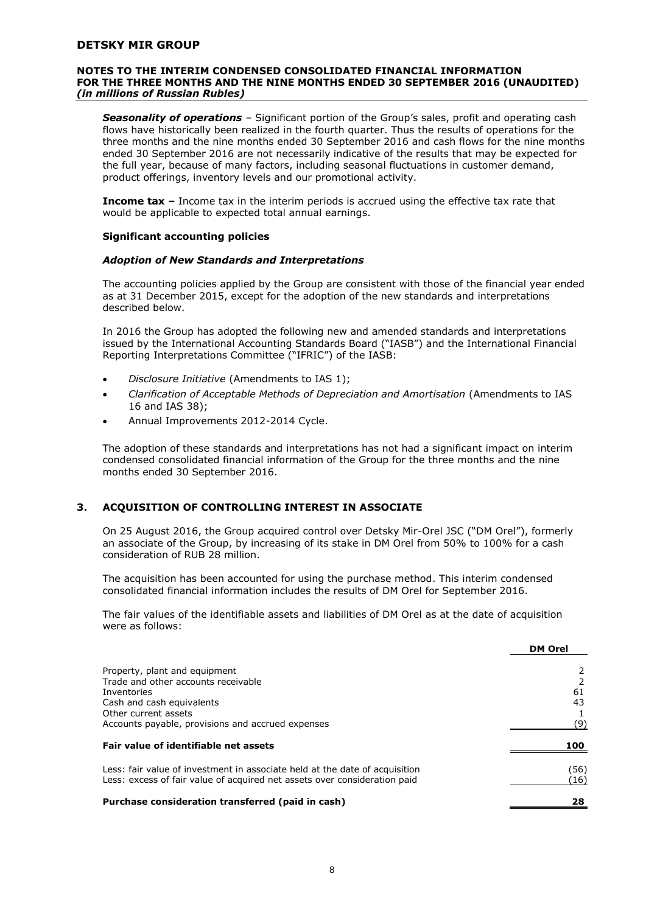#### **NOTES TO THE INTERIM CONDENSED CONSOLIDATED FINANCIAL INFORMATION FOR THE THREE MONTHS AND THE NINE MONTHS ENDED 30 SEPTEMBER 2016 (UNAUDITED)**  *(in millions of Russian Rubles)*

*Seasonality of operations –* Significant portion of the Group's sales, profit and operating cash flows have historically been realized in the fourth quarter. Thus the results of operations for the three months and the nine months ended 30 September 2016 and cash flows for the nine months ended 30 September 2016 are not necessarily indicative of the results that may be expected for the full year, because of many factors, including seasonal fluctuations in customer demand, product offerings, inventory levels and our promotional activity.

**Income tax –** Income tax in the interim periods is accrued using the effective tax rate that would be applicable to expected total annual earnings.

#### **Significant accounting policies**

#### *Adoption of New Standards and Interpretations*

The accounting policies applied by the Group are consistent with those of the financial year ended as at 31 December 2015, except for the adoption of the new standards and interpretations described below.

In 2016 the Group has adopted the following new and amended standards and interpretations issued by the International Accounting Standards Board ("IASB") and the International Financial Reporting Interpretations Committee ("IFRIC") of the IASB:

- *Disclosure Initiative* (Amendments to IAS 1);
- *Clarification of Acceptable Methods of Depreciation and Amortisation* (Amendments to IAS 16 and IAS 38);
- Annual Improvements 2012-2014 Cycle.

The adoption of these standards and interpretations has not had a significant impact on interim condensed consolidated financial information of the Group for the three months and the nine months ended 30 September 2016.

# **3. ACQUISITION OF CONTROLLING INTEREST IN ASSOCIATE**

On 25 August 2016, the Group acquired control over Detsky Mir-Orel JSC ("DM Orel"), formerly an associate of the Group, by increasing of its stake in DM Orel from 50% to 100% for a cash consideration of RUB 28 million.

The acquisition has been accounted for using the purchase method. This interim condensed consolidated financial information includes the results of DM Orel for September 2016.

The fair values of the identifiable assets and liabilities of DM Orel as at the date of acquisition were as follows:

|                                                                                                                                                          | <b>DM Orel</b>         |
|----------------------------------------------------------------------------------------------------------------------------------------------------------|------------------------|
| Property, plant and equipment                                                                                                                            |                        |
| Trade and other accounts receivable                                                                                                                      |                        |
| Inventories                                                                                                                                              | 61                     |
| Cash and cash equivalents                                                                                                                                | 43                     |
| Other current assets                                                                                                                                     |                        |
| Accounts payable, provisions and accrued expenses                                                                                                        | (9)                    |
| Fair value of identifiable net assets                                                                                                                    | 100                    |
| Less: fair value of investment in associate held at the date of acquisition<br>Less: excess of fair value of acquired net assets over consideration paid | (56)<br>$^{\prime}16)$ |
| Purchase consideration transferred (paid in cash)                                                                                                        | 28                     |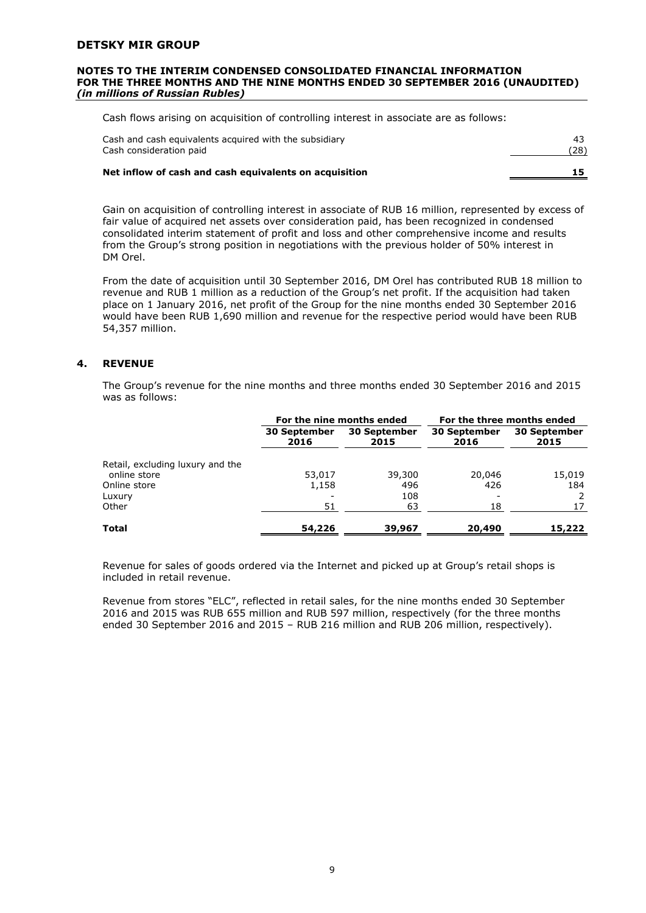#### **NOTES TO THE INTERIM CONDENSED CONSOLIDATED FINANCIAL INFORMATION FOR THE THREE MONTHS AND THE NINE MONTHS ENDED 30 SEPTEMBER 2016 (UNAUDITED)**  *(in millions of Russian Rubles)*

Cash flows arising on acquisition of controlling interest in associate are as follows:

| Cash and cash equivalents acquired with the subsidiary<br>Cash consideration paid | (28) |
|-----------------------------------------------------------------------------------|------|
| Net inflow of cash and cash equivalents on acquisition                            |      |

Gain on acquisition of controlling interest in associate of RUB 16 million, represented by excess of fair value of acquired net assets over consideration paid, has been recognized in condensed consolidated interim statement of profit and loss and other comprehensive income and results from the Group's strong position in negotiations with the previous holder of 50% interest in DM Orel.

From the date of acquisition until 30 September 2016, DM Orel has contributed RUB 18 million to revenue and RUB 1 million as a reduction of the Group's net profit. If the acquisition had taken place on 1 January 2016, net profit of the Group for the nine months ended 30 September 2016 would have been RUB 1,690 million and revenue for the respective period would have been RUB 54,357 million.

# **4. REVENUE**

The Group's revenue for the nine months and three months ended 30 September 2016 and 2015 was as follows:

|                                  | For the nine months ended |                             | For the three months ended  |                             |
|----------------------------------|---------------------------|-----------------------------|-----------------------------|-----------------------------|
|                                  | 30 September<br>2016      | <b>30 September</b><br>2015 | <b>30 September</b><br>2016 | <b>30 September</b><br>2015 |
| Retail, excluding luxury and the |                           |                             |                             |                             |
| online store                     | 53,017                    | 39,300                      | 20,046                      | 15,019                      |
| Online store                     | 1,158                     | 496                         | 426                         | 184                         |
| Luxury                           |                           | 108                         |                             |                             |
| Other                            | 51                        | 63                          | 18                          | 17                          |
| <b>Total</b>                     | 54,226                    | 39,967                      | 20,490                      | 15,222                      |

Revenue for sales of goods ordered via the Internet and picked up at Group's retail shops is included in retail revenue.

Revenue from stores "ELC", reflected in retail sales, for the nine months ended 30 September 2016 and 2015 was RUB 655 million and RUB 597 million, respectively (for the three months ended 30 September 2016 and 2015 – RUB 216 million and RUB 206 million, respectively).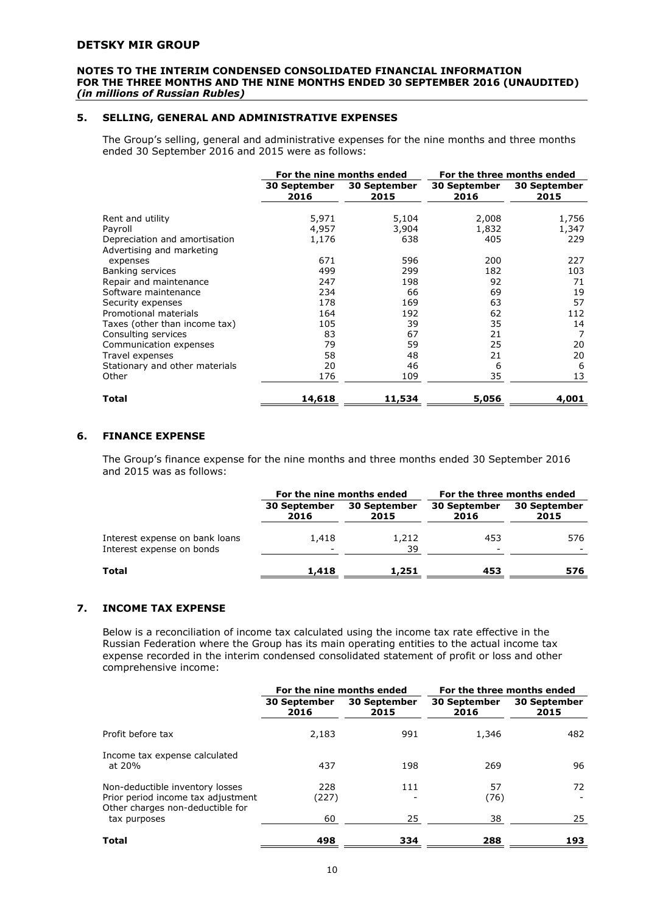#### **NOTES TO THE INTERIM CONDENSED CONSOLIDATED FINANCIAL INFORMATION FOR THE THREE MONTHS AND THE NINE MONTHS ENDED 30 SEPTEMBER 2016 (UNAUDITED)**  *(in millions of Russian Rubles)*

# **5. SELLING, GENERAL AND ADMINISTRATIVE EXPENSES**

The Group's selling, general and administrative expenses for the nine months and three months ended 30 September 2016 and 2015 were as follows:

|                                |                             | For the nine months ended   | For the three months ended  |                             |  |
|--------------------------------|-----------------------------|-----------------------------|-----------------------------|-----------------------------|--|
|                                | <b>30 September</b><br>2016 | <b>30 September</b><br>2015 | <b>30 September</b><br>2016 | <b>30 September</b><br>2015 |  |
| Rent and utility               | 5,971                       | 5,104                       | 2,008                       | 1,756                       |  |
| Payroll                        | 4,957                       | 3,904                       | 1,832                       | 1,347                       |  |
| Depreciation and amortisation  | 1,176                       | 638                         | 405                         | 229                         |  |
| Advertising and marketing      |                             |                             |                             |                             |  |
| expenses                       | 671                         | 596                         | 200                         | 227                         |  |
| Banking services               | 499                         | 299                         | 182                         | 103                         |  |
| Repair and maintenance         | 247                         | 198                         | 92                          | 71                          |  |
| Software maintenance           | 234                         | 66                          | 69                          | 19                          |  |
| Security expenses              | 178                         | 169                         | 63                          | 57                          |  |
| Promotional materials          | 164                         | 192                         | 62                          | 112                         |  |
| Taxes (other than income tax)  | 105                         | 39                          | 35                          | 14                          |  |
| Consulting services            | 83                          | 67                          | 21                          | 7                           |  |
| Communication expenses         | 79                          | 59                          | 25                          | 20                          |  |
| Travel expenses                | 58                          | 48                          | 21                          | 20                          |  |
| Stationary and other materials | 20                          | 46                          | 6                           | 6                           |  |
| Other                          | 176                         | 109                         | 35                          | 13                          |  |
| Total                          | 14,618                      | 11,534                      | 5,056                       | 4,001                       |  |

# **6. FINANCE EXPENSE**

The Group's finance expense for the nine months and three months ended 30 September 2016 and 2015 was as follows:

|                                                             |                                   | For the nine months ended | For the three months ended  |                             |
|-------------------------------------------------------------|-----------------------------------|---------------------------|-----------------------------|-----------------------------|
|                                                             | 30 September<br>2016              | 30 September<br>2015      | <b>30 September</b><br>2016 | <b>30 September</b><br>2015 |
| Interest expense on bank loans<br>Interest expense on bonds | 1,418<br>$\overline{\phantom{a}}$ | 1,212<br>39               | 453                         | 576                         |
| Total                                                       | 1,418                             | 1,251                     | 453                         | 576                         |

# **7. INCOME TAX EXPENSE**

Below is a reconciliation of income tax calculated using the income tax rate effective in the Russian Federation where the Group has its main operating entities to the actual income tax expense recorded in the interim condensed consolidated statement of profit or loss and other comprehensive income:

|                                                                                                           | For the nine months ended |                             | For the three months ended  |                             |  |
|-----------------------------------------------------------------------------------------------------------|---------------------------|-----------------------------|-----------------------------|-----------------------------|--|
|                                                                                                           | 30 September<br>2016      | <b>30 September</b><br>2015 | <b>30 September</b><br>2016 | <b>30 September</b><br>2015 |  |
| Profit before tax                                                                                         | 2,183                     | 991                         | 1,346                       | 482                         |  |
| Income tax expense calculated<br>at 20%                                                                   | 437                       | 198                         | 269                         | 96                          |  |
| Non-deductible inventory losses<br>Prior period income tax adjustment<br>Other charges non-deductible for | 228<br>(227)              | 111                         | 57<br>(76)                  | 72                          |  |
| tax purposes                                                                                              | 60                        | 25                          | 38                          | 25                          |  |
| Total                                                                                                     | 498                       | 334                         | 288                         | 193                         |  |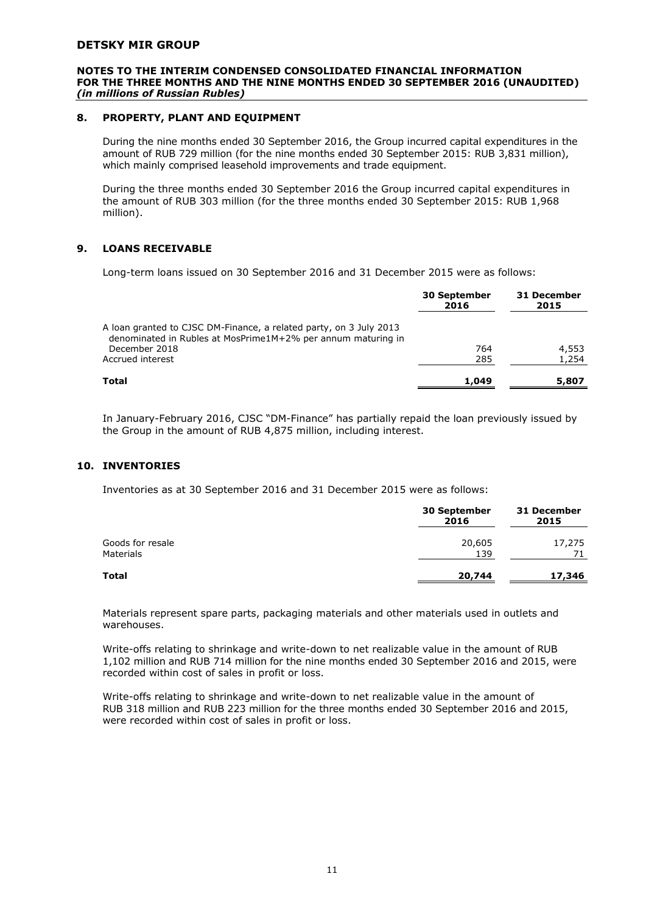#### **NOTES TO THE INTERIM CONDENSED CONSOLIDATED FINANCIAL INFORMATION FOR THE THREE MONTHS AND THE NINE MONTHS ENDED 30 SEPTEMBER 2016 (UNAUDITED)**  *(in millions of Russian Rubles)*

# **8. PROPERTY, PLANT AND EQUIPMENT**

During the nine months ended 30 September 2016, the Group incurred capital expenditures in the amount of RUB 729 million (for the nine months ended 30 September 2015: RUB 3,831 million), which mainly comprised leasehold improvements and trade equipment.

During the three months ended 30 September 2016 the Group incurred capital expenditures in the amount of RUB 303 million (for the three months ended 30 September 2015: RUB 1,968 million).

# **9. LOANS RECEIVABLE**

Long-term loans issued on 30 September 2016 and 31 December 2015 were as follows:

| <b>30 September</b><br>2016 | 31 December<br>2015 |
|-----------------------------|---------------------|
|                             |                     |
| 764                         | 4,553               |
| 285                         | 1,254               |
| 1,049                       | 5,807               |
|                             |                     |

In January-February 2016, CJSC "DM-Finance" has partially repaid the loan previously issued by the Group in the amount of RUB 4,875 million, including interest.

# **10. INVENTORIES**

Inventories as at 30 September 2016 and 31 December 2015 were as follows:

|                                      | <b>30 September</b><br>2016 | 31 December<br>2015 |
|--------------------------------------|-----------------------------|---------------------|
| Goods for resale<br><b>Materials</b> | 20,605<br>139               | 17,275<br>71        |
| Total                                | 20,744                      | 17,346              |

Materials represent spare parts, packaging materials and other materials used in outlets and warehouses.

Write-offs relating to shrinkage and write-down to net realizable value in the amount of RUB 1,102 million and RUB 714 million for the nine months ended 30 September 2016 and 2015, were recorded within cost of sales in profit or loss.

Write-offs relating to shrinkage and write-down to net realizable value in the amount of RUB 318 million and RUB 223 million for the three months ended 30 September 2016 and 2015, were recorded within cost of sales in profit or loss.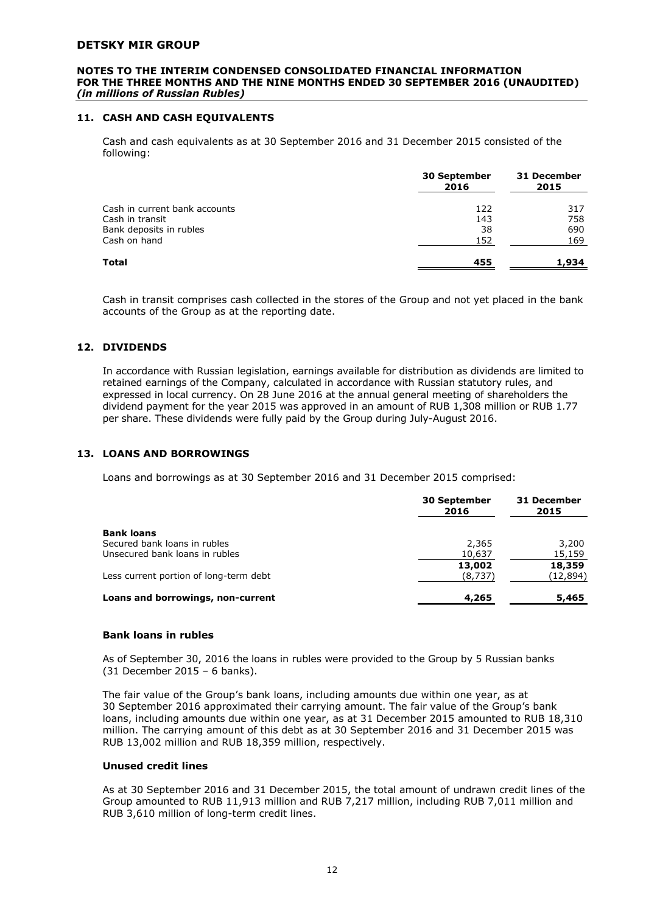#### **NOTES TO THE INTERIM CONDENSED CONSOLIDATED FINANCIAL INFORMATION FOR THE THREE MONTHS AND THE NINE MONTHS ENDED 30 SEPTEMBER 2016 (UNAUDITED)**  *(in millions of Russian Rubles)*

# **11. CASH AND CASH EQUIVALENTS**

Cash and cash equivalents as at 30 September 2016 and 31 December 2015 consisted of the following:

|                               | 30 September<br>2016 | 31 December<br>2015 |  |
|-------------------------------|----------------------|---------------------|--|
| Cash in current bank accounts | 122                  | 317                 |  |
| Cash in transit               | 143                  | 758                 |  |
| Bank deposits in rubles       | 38                   | 690                 |  |
| Cash on hand                  | 152                  | 169                 |  |
| Total                         | 455                  | 1,934               |  |

Cash in transit comprises cash collected in the stores of the Group and not yet placed in the bank accounts of the Group as at the reporting date.

#### **12. DIVIDENDS**

In accordance with Russian legislation, earnings available for distribution as dividends are limited to retained earnings of the Company, calculated in accordance with Russian statutory rules, and expressed in local currency. On 28 June 2016 at the annual general meeting of shareholders the dividend payment for the year 2015 was approved in an amount of RUB 1,308 million or RUB 1.77 per share. These dividends were fully paid by the Group during July-August 2016.

#### **13. LOANS AND BORROWINGS**

Loans and borrowings as at 30 September 2016 and 31 December 2015 comprised:

|                                        | <b>30 September</b><br>2016 | 31 December<br>2015 |
|----------------------------------------|-----------------------------|---------------------|
| <b>Bank loans</b>                      |                             |                     |
| Secured bank loans in rubles           | 2,365                       | 3,200               |
| Unsecured bank loans in rubles         | 10,637                      | 15,159              |
|                                        | 13,002                      | 18,359              |
| Less current portion of long-term debt | (8,737)                     | (12, 894)           |
| Loans and borrowings, non-current      | 4,265                       | 5,465               |

#### **Bank loans in rubles**

As of September 30, 2016 the loans in rubles were provided to the Group by 5 Russian banks (31 December 2015 – 6 banks).

The fair value of the Group's bank loans, including amounts due within one year, as at 30 September 2016 approximated their carrying amount. The fair value of the Group's bank loans, including amounts due within one year, as at 31 December 2015 amounted to RUB 18,310 million. The carrying amount of this debt as at 30 September 2016 and 31 December 2015 was RUB 13,002 million and RUB 18,359 million, respectively.

# **Unused credit lines**

As at 30 September 2016 and 31 December 2015, the total amount of undrawn credit lines of the Group amounted to RUB 11,913 million and RUB 7,217 million, including RUB 7,011 million and RUB 3,610 million of long-term credit lines.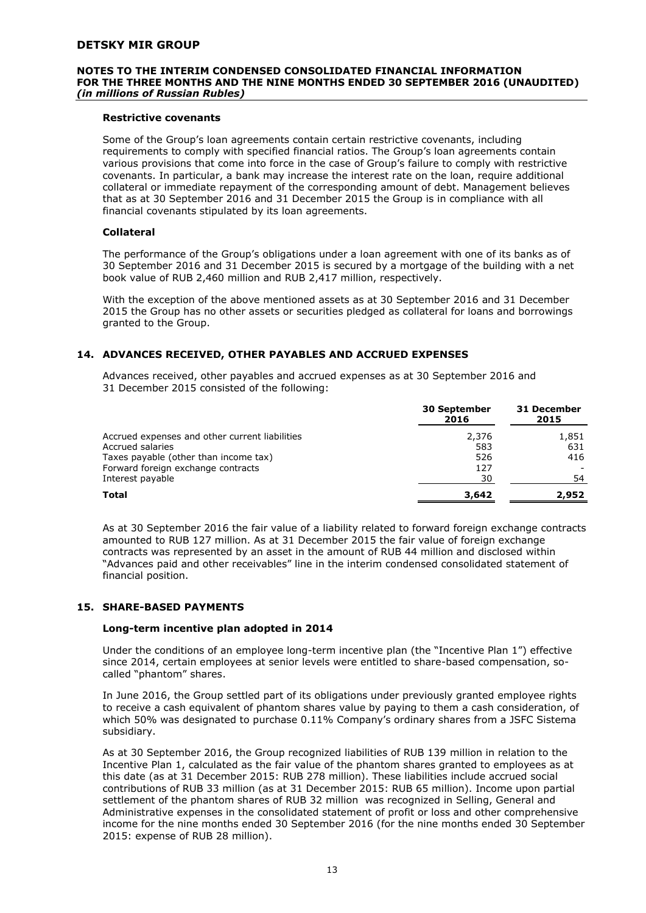#### **NOTES TO THE INTERIM CONDENSED CONSOLIDATED FINANCIAL INFORMATION FOR THE THREE MONTHS AND THE NINE MONTHS ENDED 30 SEPTEMBER 2016 (UNAUDITED)**  *(in millions of Russian Rubles)*

# **Restrictive covenants**

Some of the Group's loan agreements contain certain restrictive covenants, including requirements to comply with specified financial ratios. The Group's loan agreements contain various provisions that come into force in the case of Group's failure to comply with restrictive covenants. In particular, a bank may increase the interest rate on the loan, require additional collateral or immediate repayment of the corresponding amount of debt. Management believes that as at 30 September 2016 and 31 December 2015 the Group is in compliance with all financial covenants stipulated by its loan agreements.

#### **Collateral**

The performance of the Group's obligations under a loan agreement with one of its banks as of 30 September 2016 and 31 December 2015 is secured by a mortgage of the building with a net book value of RUB 2,460 million and RUB 2,417 million, respectively.

With the exception of the above mentioned assets as at 30 September 2016 and 31 December 2015 the Group has no other assets or securities pledged as collateral for loans and borrowings granted to the Group.

# **14. ADVANCES RECEIVED, OTHER PAYABLES AND ACCRUED EXPENSES**

Advances received, other payables and accrued expenses as at 30 September 2016 and 31 December 2015 consisted of the following:

|                                                | <b>30 September</b><br>2016 | 31 December<br>2015 |
|------------------------------------------------|-----------------------------|---------------------|
| Accrued expenses and other current liabilities | 2,376                       | 1,851               |
| Accrued salaries                               | 583                         | 631                 |
| Taxes payable (other than income tax)          | 526                         | 416                 |
| Forward foreign exchange contracts             | 127                         |                     |
| Interest payable                               | 30                          | 54                  |
| <b>Total</b>                                   | 3,642                       | 2,952               |

As at 30 September 2016 the fair value of a liability related to forward foreign exchange contracts amounted to RUB 127 million. As at 31 December 2015 the fair value of foreign exchange contracts was represented by an asset in the amount of RUB 44 million and disclosed within "Advances paid and other receivables" line in the interim condensed consolidated statement of financial position.

# **15. SHARE-BASED PAYMENTS**

#### **Long-term incentive plan adopted in 2014**

Under the conditions of an employee long-term incentive plan (the "Incentive Plan 1") effective since 2014, certain employees at senior levels were entitled to share-based compensation, socalled "phantom" shares.

In June 2016, the Group settled part of its obligations under previously granted employee rights to receive a cash equivalent of phantom shares value by paying to them a cash consideration, of which 50% was designated to purchase 0.11% Company's ordinary shares from a JSFC Sistema subsidiary.

As at 30 September 2016, the Group recognized liabilities of RUB 139 million in relation to the Incentive Plan 1, calculated as the fair value of the phantom shares granted to employees as at this date (as at 31 December 2015: RUB 278 million). These liabilities include accrued social contributions of RUB 33 million (as at 31 December 2015: RUB 65 million). Income upon partial settlement of the phantom shares of RUB 32 million was recognized in Selling, General and Administrative expenses in the consolidated statement of profit or loss and other comprehensive income for the nine months ended 30 September 2016 (for the nine months ended 30 September 2015: expense of RUB 28 million).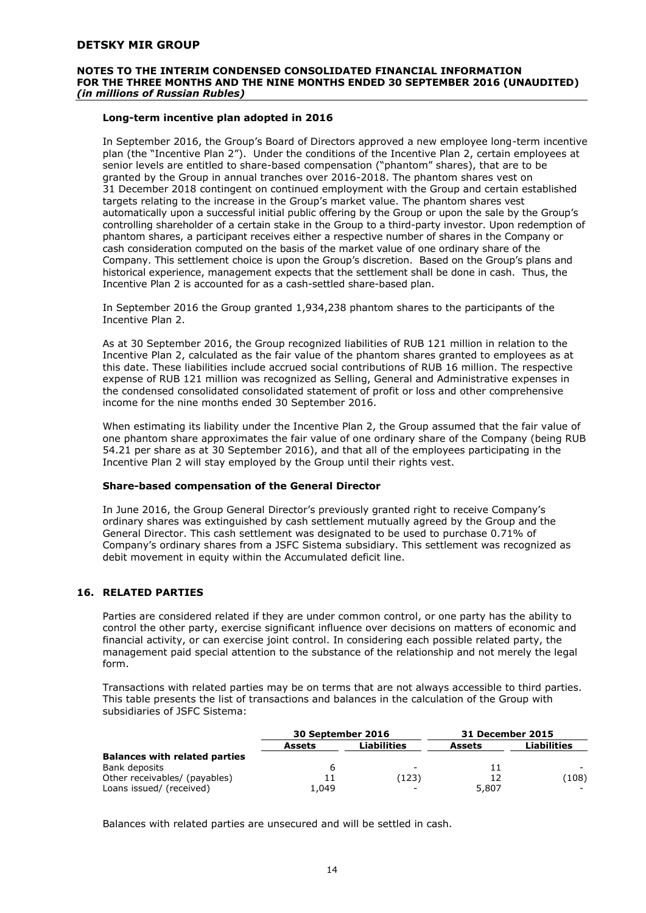## **NOTES TO THE INTERIM CONDENSED CONSOLIDATED FINANCIAL INFORMATION FOR THE THREE MONTHS AND THE NINE MONTHS ENDED 30 SEPTEMBER 2016 (UNAUDITED)**  *(in millions of Russian Rubles)*

# **Long-term incentive plan adopted in 2016**

In September 2016, the Group's Board of Directors approved a new employee long-term incentive plan (the "Incentive Plan 2"). Under the conditions of the Incentive Plan 2, certain employees at senior levels are entitled to share-based compensation ("phantom" shares), that are to be granted by the Group in annual tranches over 2016-2018. The phantom shares vest on 31 December 2018 contingent on continued employment with the Group and certain established targets relating to the increase in the Group's market value. The phantom shares vest automatically upon a successful initial public offering by the Group or upon the sale by the Group's controlling shareholder of a certain stake in the Group to a third-party investor. Upon redemption of phantom shares, a participant receives either a respective number of shares in the Company or cash consideration computed on the basis of the market value of one ordinary share of the Company. This settlement choice is upon the Group's discretion. Based on the Group's plans and historical experience, management expects that the settlement shall be done in cash. Thus, the Incentive Plan 2 is accounted for as a cash-settled share-based plan.

In September 2016 the Group granted 1,934,238 phantom shares to the participants of the Incentive Plan 2.

As at 30 September 2016, the Group recognized liabilities of RUB 121 million in relation to the Incentive Plan 2, calculated as the fair value of the phantom shares granted to employees as at this date. These liabilities include accrued social contributions of RUB 16 million. The respective expense of RUB 121 million was recognized as Selling, General and Administrative expenses in the condensed consolidated consolidated statement of profit or loss and other comprehensive income for the nine months ended 30 September 2016.

When estimating its liability under the Incentive Plan 2, the Group assumed that the fair value of one phantom share approximates the fair value of one ordinary share of the Company (being RUB 54.21 per share as at 30 September 2016), and that all of the employees participating in the Incentive Plan 2 will stay employed by the Group until their rights vest.

#### **Share-based compensation of the General Director**

In June 2016, the Group General Director's previously granted right to receive Company's ordinary shares was extinguished by cash settlement mutually agreed by the Group and the General Director. This cash settlement was designated to be used to purchase 0.71% of Company's ordinary shares from a JSFC Sistema subsidiary. This settlement was recognized as debit movement in equity within the Accumulated deficit line.

# **16. RELATED PARTIES**

Parties are considered related if they are under common control, or one party has the ability to control the other party, exercise significant influence over decisions on matters of economic and financial activity, or can exercise joint control. In considering each possible related party, the management paid special attention to the substance of the relationship and not merely the legal form.

Transactions with related parties may be on terms that are not always accessible to third parties. This table presents the list of transactions and balances in the calculation of the Group with subsidiaries of JSFC Sistema:

|                                      | 30 September 2016 |                          | 31 December 2015 |                    |
|--------------------------------------|-------------------|--------------------------|------------------|--------------------|
|                                      | Assets            | <b>Liabilities</b>       | <b>Assets</b>    | <b>Liabilities</b> |
| <b>Balances with related parties</b> |                   |                          |                  |                    |
| Bank deposits                        |                   | $\sim$                   | 11               |                    |
| Other receivables/ (payables)        |                   | (123)                    | 12               | (108)              |
| Loans issued/ (received)             | 1,049             | $\overline{\phantom{0}}$ | 5,807            |                    |

Balances with related parties are unsecured and will be settled in cash.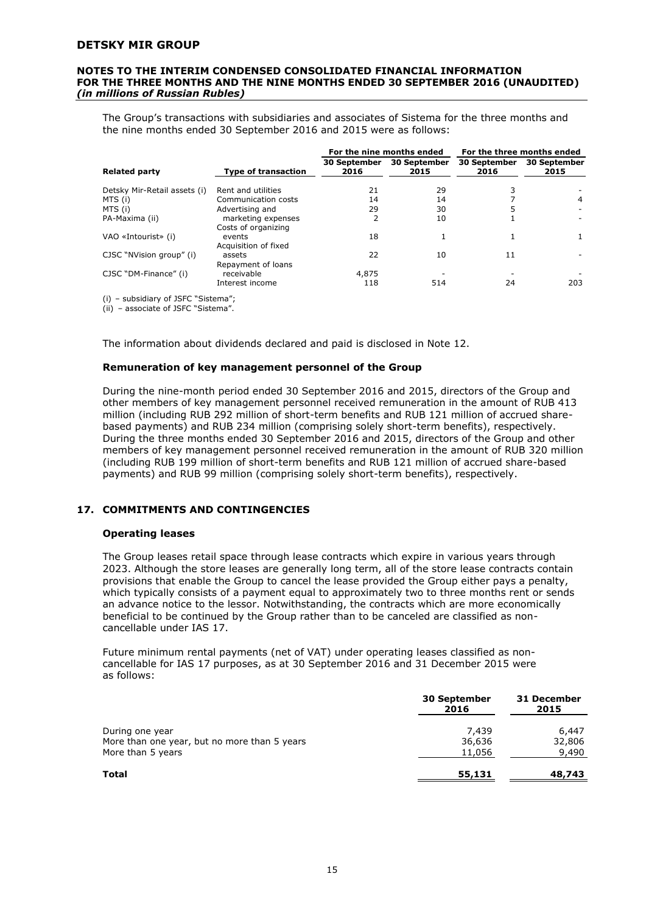#### **NOTES TO THE INTERIM CONDENSED CONSOLIDATED FINANCIAL INFORMATION FOR THE THREE MONTHS AND THE NINE MONTHS ENDED 30 SEPTEMBER 2016 (UNAUDITED)**  *(in millions of Russian Rubles)*

The Group's transactions with subsidiaries and associates of Sistema for the three months and the nine months ended 30 September 2016 and 2015 were as follows:

|                              |                                           | For the nine months ended   |                             | For the three months ended  |                      |
|------------------------------|-------------------------------------------|-----------------------------|-----------------------------|-----------------------------|----------------------|
| <b>Related party</b>         | <b>Type of transaction</b>                | <b>30 September</b><br>2016 | <b>30 September</b><br>2015 | <b>30 September</b><br>2016 | 30 September<br>2015 |
| Detsky Mir-Retail assets (i) | Rent and utilities                        | 21                          | 29                          |                             |                      |
| MTS (i)                      | Communication costs                       | 14                          | 14                          |                             | 4                    |
| MTS (i)                      | Advertising and                           | 29                          | 30                          | 5                           |                      |
| PA-Maxima (ii)               | marketing expenses<br>Costs of organizing | 2                           | 10                          |                             |                      |
| VAO «Intourist» (i)          | events<br>Acquisition of fixed            | 18                          |                             |                             |                      |
| CJSC "NVision group" (i)     | assets<br>Repayment of loans              | 22                          | 10                          | 11                          |                      |
| CJSC "DM-Finance" (i)        | receivable                                | 4,875                       |                             |                             |                      |
|                              | Interest income                           | 118                         | 514                         | 24                          | 203                  |

(i) – subsidiary of JSFC "Sistema";

(ii) – associate of JSFC "Sistema".

The information about dividends declared and paid is disclosed in Note 12.

#### **Remuneration of key management personnel of the Group**

During the nine-month period ended 30 September 2016 and 2015, directors of the Group and other members of key management personnel received remuneration in the amount of RUB 413 million (including RUB 292 million of short-term benefits and RUB 121 million of accrued sharebased payments) and RUB 234 million (comprising solely short-term benefits), respectively. During the three months ended 30 September 2016 and 2015, directors of the Group and other members of key management personnel received remuneration in the amount of RUB 320 million (including RUB 199 million of short-term benefits and RUB 121 million of accrued share-based payments) and RUB 99 million (comprising solely short-term benefits), respectively.

# **17. COMMITMENTS AND CONTINGENCIES**

#### **Operating leases**

The Group leases retail space through lease contracts which expire in various years through 2023. Although the store leases are generally long term, all of the store lease contracts contain provisions that enable the Group to cancel the lease provided the Group either pays a penalty, which typically consists of a payment equal to approximately two to three months rent or sends an advance notice to the lessor. Notwithstanding, the contracts which are more economically beneficial to be continued by the Group rather than to be canceled are classified as noncancellable under IAS 17.

Future minimum rental payments (net of VAT) under operating leases classified as noncancellable for IAS 17 purposes, as at 30 September 2016 and 31 December 2015 were as follows:

|                                              | <b>30 September</b><br>2016 | 31 December<br>2015 |  |
|----------------------------------------------|-----------------------------|---------------------|--|
| During one year                              | 7,439                       | 6,447               |  |
| More than one year, but no more than 5 years | 36,636                      | 32,806              |  |
| More than 5 years                            | 11,056                      | 9,490               |  |
| <b>Total</b>                                 | 55,131                      | 48,743              |  |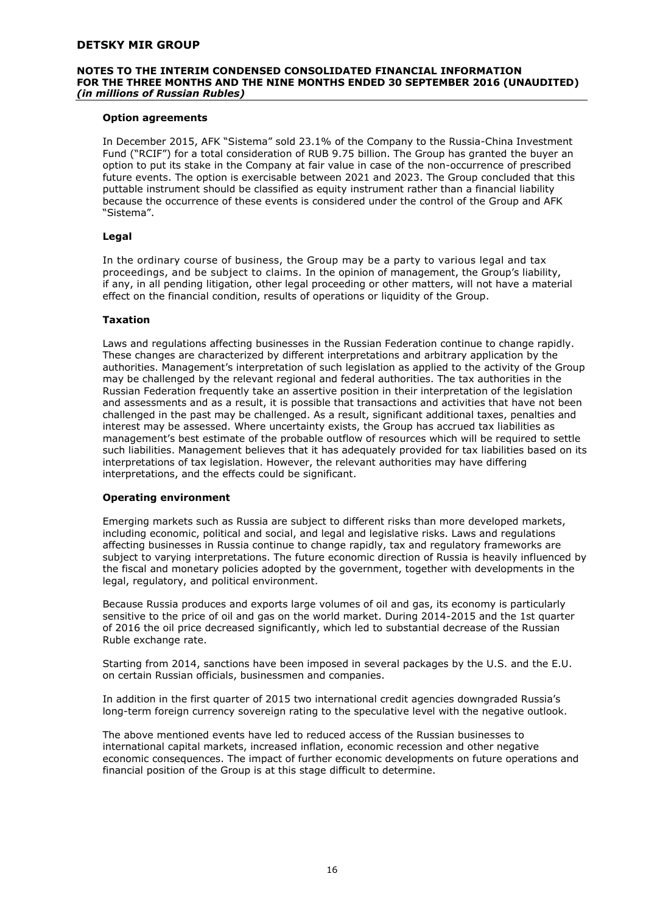#### **NOTES TO THE INTERIM CONDENSED CONSOLIDATED FINANCIAL INFORMATION FOR THE THREE MONTHS AND THE NINE MONTHS ENDED 30 SEPTEMBER 2016 (UNAUDITED)**  *(in millions of Russian Rubles)*

# **Option agreements**

In December 2015, AFK "Sistema" sold 23.1% of the Company to the Russia-China Investment Fund ("RCIF") for a total consideration of RUB 9.75 billion. The Group has granted the buyer an option to put its stake in the Company at fair value in case of the non-occurrence of prescribed future events. The option is exercisable between 2021 and 2023. The Group concluded that this puttable instrument should be classified as equity instrument rather than a financial liability because the occurrence of these events is considered under the control of the Group and AFK "Sistema".

# **Legal**

In the ordinary course of business, the Group may be a party to various legal and tax proceedings, and be subject to claims. In the opinion of management, the Group's liability, if any, in all pending litigation, other legal proceeding or other matters, will not have a material effect on the financial condition, results of operations or liquidity of the Group.

#### **Taxation**

Laws and regulations affecting businesses in the Russian Federation continue to change rapidly. These changes are characterized by different interpretations and arbitrary application by the authorities. Management's interpretation of such legislation as applied to the activity of the Group may be challenged by the relevant regional and federal authorities. The tax authorities in the Russian Federation frequently take an assertive position in their interpretation of the legislation and assessments and as a result, it is possible that transactions and activities that have not been challenged in the past may be challenged. As a result, significant additional taxes, penalties and interest may be assessed. Where uncertainty exists, the Group has accrued tax liabilities as management's best estimate of the probable outflow of resources which will be required to settle such liabilities. Management believes that it has adequately provided for tax liabilities based on its interpretations of tax legislation. However, the relevant authorities may have differing interpretations, and the effects could be significant.

# **Operating environment**

Emerging markets such as Russia are subject to different risks than more developed markets, including economic, political and social, and legal and legislative risks. Laws and regulations affecting businesses in Russia continue to change rapidly, tax and regulatory frameworks are subject to varying interpretations. The future economic direction of Russia is heavily influenced by the fiscal and monetary policies adopted by the government, together with developments in the legal, regulatory, and political environment.

Because Russia produces and exports large volumes of oil and gas, its economy is particularly sensitive to the price of oil and gas on the world market. During 2014-2015 and the 1st quarter of 2016 the oil price decreased significantly, which led to substantial decrease of the Russian Ruble exchange rate.

Starting from 2014, sanctions have been imposed in several packages by the U.S. and the E.U. on certain Russian officials, businessmen and companies.

In addition in the first quarter of 2015 two international credit agencies downgraded Russia's long-term foreign currency sovereign rating to the speculative level with the negative outlook.

The above mentioned events have led to reduced access of the Russian businesses to international capital markets, increased inflation, economic recession and other negative economic consequences. The impact of further economic developments on future operations and financial position of the Group is at this stage difficult to determine.